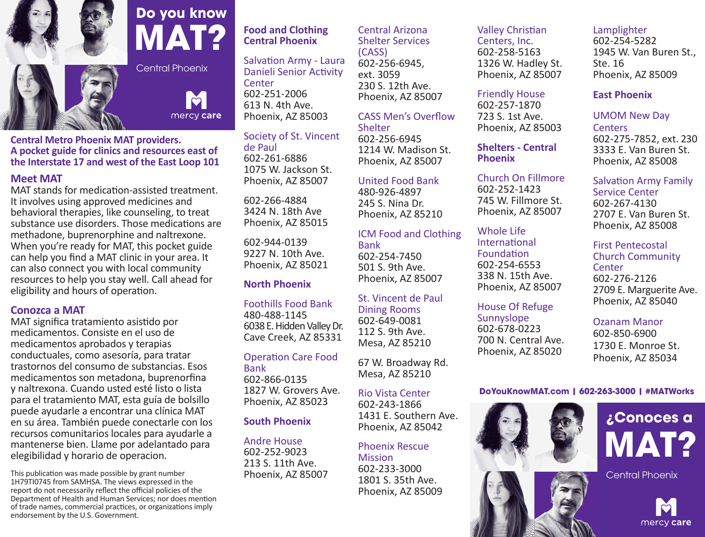

## **Do you know MAT?**

Central Phoenix

 $\mathbf{p}$ mercy care

**Central Metro Phoenix MAT providers. A pocket guide for clinics and resources east of the Interstate 17 and west of the East Loop 101**

#### **Meet MAT**

MAT stands for medication-assisted treatment. It involves using approved medicines and behavioral therapies, like counseling, to treat substance use disorders. Those medications are methadone, buprenorphine and naltrexone. When you're ready for MAT, this pocket guide can help you find a MAT clinic in your area. It can also connect you with local community resources to help you stay well. Call ahead for eligibility and hours of operation.

#### **Conozca a MAT**

MAT significa tratamiento asistido por medicamentos. Consiste en el uso de medicamentos aprobados y terapias conductuales, como asesoría, para tratar trastornos del consumo de substancias. Esos medicamentos son metadona, buprenorfina y naltrexona. Cuando usted esté listo o lista para el tratamiento MAT, esta guía de bolsillo puede ayudarle a encontrar una clínica MAT en su área. También puede conectarle con los recursos comunitarios locales para ayudarle a mantenerse bien. Llame por adelantado para elegibilidad y horario de operacion.

This publication was made possible by grant number 1H79TI0745 from SAMHSA. The views expressed in the report do not necessarily reflect the official policies of the Department of Health and Human Services; nor does mention of trade names, commercial practices, or organizations imply endorsement by the U.S. Government.

#### **Food and Clothing Central Phoenix**

Salvation Army - Laura Danieli Senior Activity **Center** 602-251-2006 613 N. 4th Ave. Phoenix, AZ 85003

Society of St. Vincent de Paul 602-261-6886 1075 W. Jackson St. Phoenix, AZ 85007

602-266-4884 3424 N. 18th Ave Phoenix, AZ 85015

602-944-0139 9227 N. 10th Ave. Phoenix, AZ 85021

#### **North Phoenix**

Foothills Food Bank 480-488-1145 6038 E. Hidden Valley Dr. Cave Creek, AZ 85331

## Operation Care Food

Bank 602-866-0135 1827 W. Grovers Ave. Phoenix, AZ 85023

#### **South Phoenix**

Andre House 602-252-9023 213 S. 11th Ave. Phoenix, AZ 85007

#### Central Arizona Shelter Services (CASS) 602-256-6945,

ext. 3059 230 S. 12th Ave. Phoenix, AZ 85007

CASS Men's Overflow Shelter 602-256-6945 1214 W. Madison St. Phoenix, AZ 85007

#### United Food Bank

480-926-4897 245 S. Nina Dr. Phoenix, AZ 85210

ICM Food and Clothing Bank 602-254-7450 501 S. 9th Ave.

Phoenix, AZ 85007

St. Vincent de Paul Dining Rooms 602-649-0081 112 S. 9th Ave. Mesa, AZ 85210

67 W. Broadway Rd. Mesa, AZ 85210

Rio Vista Center 602-243-1866 1431 E. Southern Ave. Phoenix, AZ 85042

#### Phoenix Rescue Mission

602-233-3000 1801 S. 35th Ave. Phoenix, AZ 85009

### Valley Christian Centers, Inc.

602-258-5163 1326 W. Hadley St. Phoenix, AZ 85007

Friendly House

602-257-1870 723 S. 1st Ave. Phoenix, AZ 85003

**Shelters - Central Phoenix**

Church On Fillmore 602-252-1423 745 W. Fillmore St. Phoenix, AZ 85007

Whole Life International Foundation 602-254-6553 338 N. 15th Ave. Phoenix, AZ 85007

House Of Refuge Sunnyslope 602-678-0223 700 N. Central Ave. Phoenix, AZ 85020

#### Phoenix, AZ 85008 First Pentecostal Church Community **Center**

Service Center 602-267-4130

Lamplighter 602-254-5282

**East Phoenix**

Ste. 16

**Centers** 

1945 W. Van Buren St.,

602-275-7852, ext. 230 3333 E. Van Buren St. Phoenix, AZ 85008

Salvation Army Family

2707 E. Van Buren St.

Phoenix, AZ 85009

UMOM New Day

602-276-2126 2709 E. Marguerite Ave. Phoenix, AZ 85040

#### Ozanam Manor

602-850-6900 1730 E. Monroe St. Phoenix, AZ 85034

#### **DoYouKnowMAT.com | 602-263-3000 | #MATWorks**



# **¿Conoces a MAT?**

Central Phoenix